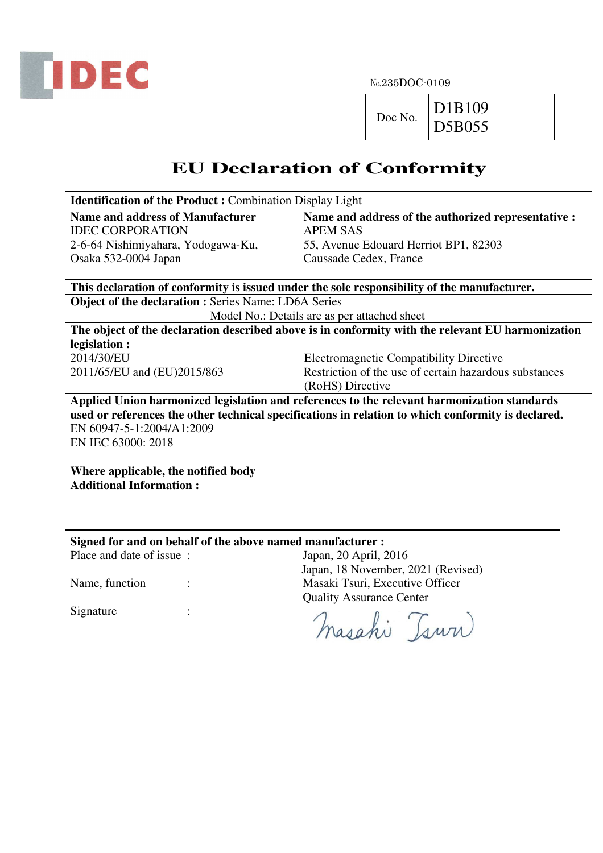

№235DOC-0109

 $Doc No.$  D1B109 D5B055

## **EU Declaration of Conformity**

| <b>Identification of the Product:</b> Combination Display Light                                    |                                                        |  |  |  |  |  |  |
|----------------------------------------------------------------------------------------------------|--------------------------------------------------------|--|--|--|--|--|--|
| <b>Name and address of Manufacturer</b>                                                            | Name and address of the authorized representative :    |  |  |  |  |  |  |
| <b>IDEC CORPORATION</b>                                                                            | <b>APEM SAS</b>                                        |  |  |  |  |  |  |
| 2-6-64 Nishimiyahara, Yodogawa-Ku,                                                                 | 55, Avenue Edouard Herriot BP1, 82303                  |  |  |  |  |  |  |
| Osaka 532-0004 Japan                                                                               | Caussade Cedex, France                                 |  |  |  |  |  |  |
|                                                                                                    |                                                        |  |  |  |  |  |  |
| This declaration of conformity is issued under the sole responsibility of the manufacturer.        |                                                        |  |  |  |  |  |  |
| <b>Object of the declaration : Series Name: LD6A Series</b>                                        |                                                        |  |  |  |  |  |  |
| Model No.: Details are as per attached sheet                                                       |                                                        |  |  |  |  |  |  |
| The object of the declaration described above is in conformity with the relevant EU harmonization  |                                                        |  |  |  |  |  |  |
| legislation :                                                                                      |                                                        |  |  |  |  |  |  |
| 2014/30/EU                                                                                         | <b>Electromagnetic Compatibility Directive</b>         |  |  |  |  |  |  |
| 2011/65/EU and (EU)2015/863                                                                        | Restriction of the use of certain hazardous substances |  |  |  |  |  |  |
|                                                                                                    | (RoHS) Directive                                       |  |  |  |  |  |  |
| Applied Union harmonized legislation and references to the relevant harmonization standards        |                                                        |  |  |  |  |  |  |
| used or references the other technical specifications in relation to which conformity is declared. |                                                        |  |  |  |  |  |  |
| EN 60947-5-1:2004/A1:2009                                                                          |                                                        |  |  |  |  |  |  |
| EN IEC 63000: 2018                                                                                 |                                                        |  |  |  |  |  |  |
|                                                                                                    |                                                        |  |  |  |  |  |  |

**Where applicable, the notified body Additional Information :** 

## **Signed for and on behalf of the above named manufacturer :**

Place and date of issue : Japan, 20 April, 2016

Japan, 18 November, 2021 (Revised) Name, function : Masaki Tsuri, Executive Officer Quality Assurance Center

Masahi Tsww

Signature :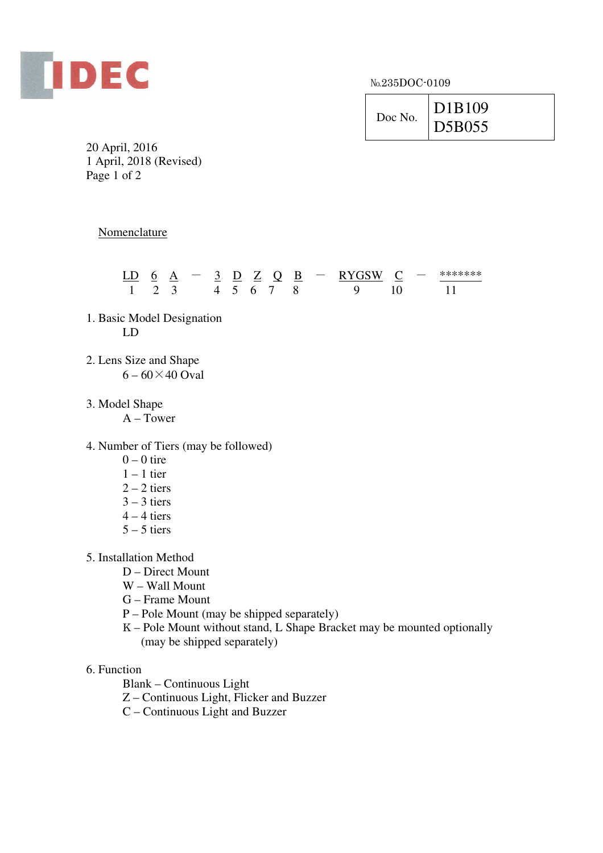

№235DOC-0109

| Doc No. | D <sub>1</sub> B <sub>109</sub> |
|---------|---------------------------------|
|         | D5B055                          |

20 April, 2016 1 April, 2018 (Revised) Page 1 of 2

**Nomenclature** 

|  |  |  |      |  | LD 6 A $-$ 3 D Z Q B $-$ RYGSW C $-$ |  | ******** |
|--|--|--|------|--|--------------------------------------|--|----------|
|  |  |  | 4567 |  |                                      |  |          |

- 1. Basic Model Designation LD
- 2. Lens Size and Shape  $6 - 60 \times 40$  Oval
- 3. Model Shape

A – Tower

4. Number of Tiers (may be followed)

- $0 0$  tire
- $1 1$  tier
- $2 2$  tiers
- $3 3$  tiers
- $4 4$  tiers
- $5 5$  tiers
- 5. Installation Method
	- D Direct Mount
	- W Wall Mount
	- G Frame Mount
	- P Pole Mount (may be shipped separately)
	- K Pole Mount without stand, L Shape Bracket may be mounted optionally (may be shipped separately)

## 6. Function

Blank – Continuous Light

- Z Continuous Light, Flicker and Buzzer
- C Continuous Light and Buzzer